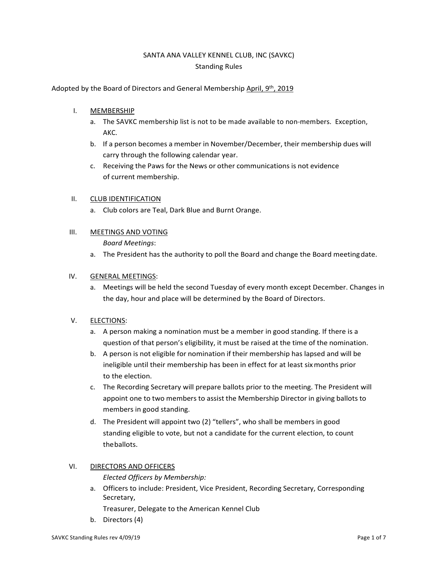# SANTA ANA VALLEY KENNEL CLUB, INC (SAVKC) Standing Rules

### Adopted by the Board of Directors and General Membership April, 9th, 2019

- I. MEMBERSHIP
	- a. The SAVKC membership list is not to be made available to non-members. Exception, AKC.
	- b. If a person becomes a member in November/December, their membership dues will carry through the following calendar year.
	- c. Receiving the Paws for the News or other communications is not evidence of current membership.

### II. CLUB IDENTIFICATION

a. Club colors are Teal, Dark Blue and Burnt Orange.

### III. MEETINGS AND VOTING

*Board Meetings*:

a. The President has the authority to poll the Board and change the Board meetingdate.

### IV. GENERAL MEETINGS:

a. Meetings will be held the second Tuesday of every month except December. Changes in the day, hour and place will be determined by the Board of Directors.

#### V. ELECTIONS:

- a. A person making a nomination must be a member in good standing. If there is a question of that person's eligibility, it must be raised at the time of the nomination.
- b. A person is not eligible for nomination if their membership has lapsed and will be ineligible until their membership has been in effect for at least sixmonths prior to the election.
- c. The Recording Secretary will prepare ballots prior to the meeting. The President will appoint one to two members to assist the Membership Director in giving ballots to members in good standing.
- d. The President will appoint two (2) "tellers", who shall be members in good standing eligible to vote, but not a candidate for the current election, to count theballots.

# VI. DIRECTORS AND OFFICERS

*Elected Officers by Membership:*

a. Officers to include: President, Vice President, Recording Secretary, Corresponding Secretary,

Treasurer, Delegate to the American Kennel Club

b. Directors (4)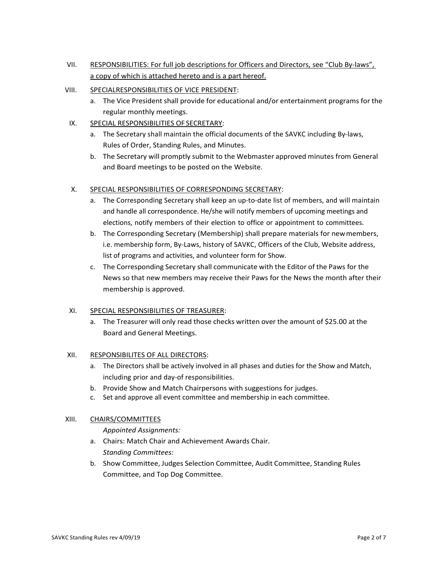- VII. RESPONSIBILITIES: For full job descriptions for Officers and Directors, see "Club By-laws", a copy of which is attached hereto and is a part hereof.
- VIII. SPECIALRESPONSIBILITIES OF VICE PRESIDENT:
	- a. The Vice President shall provide for educational and/or entertainment programs for the regular monthly meetings.
- IX. SPECIAL RESPONSIBILITIES OF SECRETARY:
	- a. The Secretary shall maintain the official documents of the SAVKC including By-laws, Rules of Order, Standing Rules, and Minutes.
	- b. The Secretary will promptly submit to the Webmaster approved minutes from General and Board meetings to be posted on the Website.
- X. SPECIAL RESPONSIBILITIES OF CORRESPONDING SECRETARY:
	- a. The Corresponding Secretary shall keep an up-to-date list of members, and will maintain and handle all correspondence. He/she will notify members of upcoming meetings and elections, notify members of their election to office or appointment to committees.
	- b. The Corresponding Secretary (Membership) shall prepare materials for newmembers, i.e. membership form, By-Laws, history of SAVKC, Officers of the Club, Website address, list of programs and activities, and volunteer form for Show.
	- c. The Corresponding Secretary shall communicate with the Editor of the Paws for the News so that new members may receive their Paws for the News the month after their membership is approved.

# XI. SPECIAL RESPONSIBILITIES OF TREASURER:

a. The Treasurer will only read those checks written over the amount of \$25.00 at the Board and General Meetings.

# XII. RESPONSIBILITES OF ALL DIRECTORS:

- a. The Directors shall be actively involved in all phases and duties for the Show and Match, including prior and day-of responsibilities.
- b. Provide Show and Match Chairpersons with suggestions for judges.
- c. Set and approve all event committee and membership in each committee.

# XIII. CHAIRS/COMMITTEES

*Appointed Assignments:*

- a. Chairs: Match Chair and Achievement Awards Chair. *Standing Committees:*
- b. Show Committee, Judges Selection Committee, Audit Committee, Standing Rules Committee, and Top Dog Committee.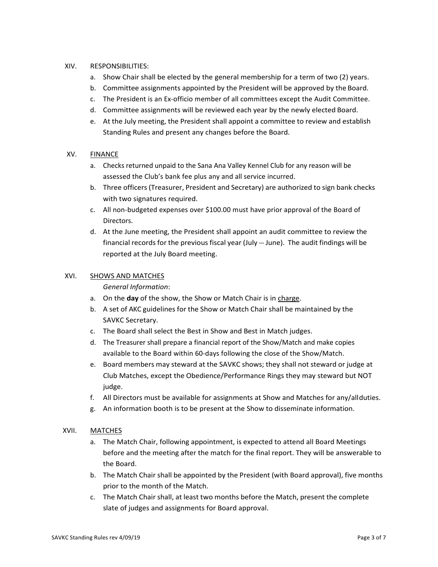### XIV. RESPONSIBILITIES:

- a. Show Chair shall be elected by the general membership for a term of two (2) years.
- b. Committee assignments appointed by the President will be approved by the Board.
- c. The President is an Ex-officio member of all committees except the Audit Committee.
- d. Committee assignments will be reviewed each year by the newly elected Board.
- e. At the July meeting, the President shall appoint a committee to review and establish Standing Rules and present any changes before the Board.

### XV. FINANCE

- a. Checks returned unpaid to the Sana Ana Valley Kennel Club for any reason will be assessed the Club's bank fee plus any and all service incurred.
- b. Three officers (Treasurer, President and Secretary) are authorized to sign bank checks with two signatures required.
- c. All non-budgeted expenses over \$100.00 must have prior approval of the Board of Directors.
- d. At the June meeting, the President shall appoint an audit committee to review the financial records for the previous fiscal year (July --- June). The audit findings will be reported at the July Board meeting.

### XVI. SHOWS AND MATCHES

*General Information*:

- a. On the **day** of the show, the Show or Match Chair is in charge.
- b. A set of AKC guidelines for the Show or Match Chair shall be maintained by the SAVKC Secretary.
- c. The Board shall select the Best in Show and Best in Match judges.
- d. The Treasurer shall prepare a financial report of the Show/Match and make copies available to the Board within 60-days following the close of the Show/Match.
- e. Board members may steward at the SAVKC shows; they shall not steward or judge at Club Matches, except the Obedience/Performance Rings they may steward but NOT judge.
- f. All Directors must be available for assignments at Show and Matches for any/allduties.
- g. An information booth is to be present at the Show to disseminate information.

# XVII. MATCHES

- a. The Match Chair, following appointment, is expected to attend all Board Meetings before and the meeting after the match for the final report. They will be answerable to the Board.
- b. The Match Chair shall be appointed by the President (with Board approval), five months prior to the month of the Match.
- c. The Match Chair shall, at least two months before the Match, present the complete slate of judges and assignments for Board approval.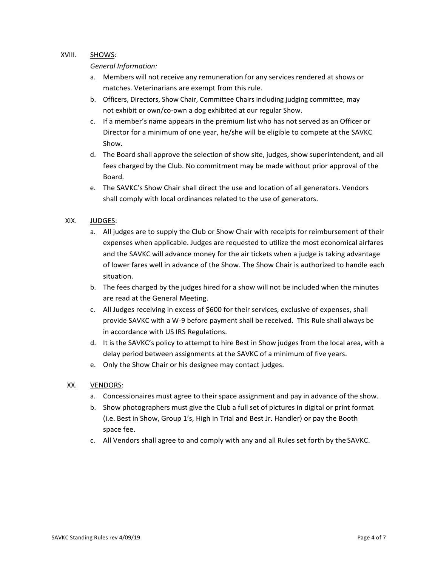### XVIII. SHOWS:

#### *General Information:*

- a. Members will not receive any remuneration for any services rendered at shows or matches. Veterinarians are exempt from this rule.
- b. Officers, Directors, Show Chair, Committee Chairs including judging committee, may not exhibit or own/co-own a dog exhibited at our regular Show.
- c. If a member's name appears in the premium list who has not served as an Officer or Director for a minimum of one year, he/she will be eligible to compete at the SAVKC Show.
- d. The Board shall approve the selection of show site, judges, show superintendent, and all fees charged by the Club. No commitment may be made without prior approval of the Board.
- e. The SAVKC's Show Chair shall direct the use and location of all generators. Vendors shall comply with local ordinances related to the use of generators.

### XIX. JUDGES:

- a. All judges are to supply the Club or Show Chair with receipts for reimbursement of their expenses when applicable. Judges are requested to utilize the most economical airfares and the SAVKC will advance money for the air tickets when a judge is taking advantage of lower fares well in advance of the Show. The Show Chair is authorized to handle each situation.
- b. The fees charged by the judges hired for a show will not be included when the minutes are read at the General Meeting.
- c. All Judges receiving in excess of \$600 for their services, exclusive of expenses, shall provide SAVKC with a W-9 before payment shall be received. This Rule shall always be in accordance with US IRS Regulations.
- d. It is the SAVKC's policy to attempt to hire Best in Show judges from the local area, with a delay period between assignments at the SAVKC of a minimum of five years.
- e. Only the Show Chair or his designee may contact judges.

#### XX. VENDORS:

- a. Concessionaires must agree to their space assignment and pay in advance of the show.
- b. Show photographers must give the Club a full set of pictures in digital or print format (i.e. Best in Show, Group 1's, High in Trial and Best Jr. Handler) or pay the Booth space fee.
- c. All Vendors shall agree to and comply with any and all Rules set forth by the SAVKC.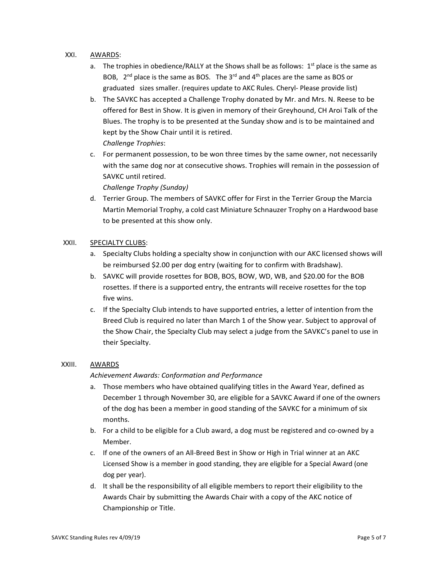### XXI. AWARDS:

- a. The trophies in obedience/RALLY at the Shows shall be as follows:  $1<sup>st</sup>$  place is the same as BOB,  $2^{nd}$  place is the same as BOS. The 3<sup>rd</sup> and 4<sup>th</sup> places are the same as BOS or graduated sizes smaller. (requires update to AKC Rules. Cheryl- Please provide list)
- b. The SAVKC has accepted a Challenge Trophy donated by Mr. and Mrs. N. Reese to be offered for Best in Show. It is given in memory of their Greyhound, CH Aroi Talk of the Blues. The trophy is to be presented at the Sunday show and is to be maintained and kept by the Show Chair until it is retired. *Challenge Trophies*:
- c. For permanent possession, to be won three times by the same owner, not necessarily with the same dog nor at consecutive shows. Trophies will remain in the possession of SAVKC until retired.

*Challenge Trophy (Sunday)*

d. Terrier Group. The members of SAVKC offer for First in the Terrier Group the Marcia Martin Memorial Trophy, a cold cast Miniature Schnauzer Trophy on a Hardwood base to be presented at this show only.

### XXII. SPECIALTY CLUBS:

- a. Specialty Clubs holding a specialty show in conjunction with our AKC licensed shows will be reimbursed \$2.00 per dog entry (waiting for to confirm with Bradshaw).
- b. SAVKC will provide rosettes for BOB, BOS, BOW, WD, WB, and \$20.00 for the BOB rosettes. If there is a supported entry, the entrants will receive rosettes for the top five wins.
- c. If the Specialty Club intends to have supported entries, a letter of intention from the Breed Club is required no later than March 1 of the Show year. Subject to approval of the Show Chair, the Specialty Club may select a judge from the SAVKC's panel to use in their Specialty.

# XXIII. AWARDS

# *Achievement Awards: Conformation and Performance*

- a. Those members who have obtained qualifying titles in the Award Year, defined as December 1 through November 30, are eligible for a SAVKC Award if one of the owners of the dog has been a member in good standing of the SAVKC for a minimum of six months.
- b. For a child to be eligible for a Club award, a dog must be registered and co-owned by a Member.
- c. If one of the owners of an All-Breed Best in Show or High in Trial winner at an AKC Licensed Show is a member in good standing, they are eligible for a Special Award (one dog per year).
- d. It shall be the responsibility of all eligible members to report their eligibility to the Awards Chair by submitting the Awards Chair with a copy of the AKC notice of Championship or Title.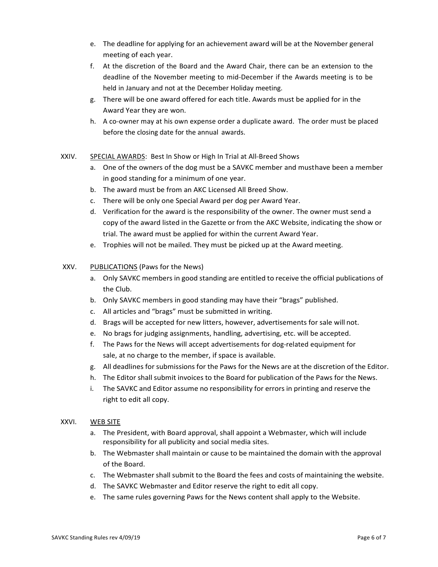- e. The deadline for applying for an achievement award will be at the November general meeting of each year.
- f. At the discretion of the Board and the Award Chair, there can be an extension to the deadline of the November meeting to mid-December if the Awards meeting is to be held in January and not at the December Holiday meeting.
- g. There will be one award offered for each title. Awards must be applied for in the Award Year they are won.
- h. A co-owner may at his own expense order a duplicate award. The order must be placed before the closing date for the annual awards.
- XXIV. SPECIAL AWARDS: Best In Show or High In Trial at All-Breed Shows
	- a. One of the owners of the dog must be a SAVKC member and musthave been a member in good standing for a minimum of one year.
	- b. The award must be from an AKC Licensed All Breed Show.
	- c. There will be only one Special Award per dog per Award Year.
	- d. Verification for the award is the responsibility of the owner. The owner must send a copy of the award listed in the Gazette or from the AKC Website, indicating the show or trial. The award must be applied for within the current Award Year.
	- e. Trophies will not be mailed. They must be picked up at the Award meeting.

#### XXV. PUBLICATIONS (Paws for the News)

- a. Only SAVKC members in good standing are entitled to receive the official publications of the Club.
- b. Only SAVKC members in good standing may have their "brags" published.
- c. All articles and "brags" must be submitted in writing.
- d. Brags will be accepted for new litters, however, advertisements for sale will not.
- e. No brags for judging assignments, handling, advertising, etc. will be accepted.
- f. The Paws for the News will accept advertisements for dog-related equipment for sale, at no charge to the member, if space is available.
- g. All deadlines for submissions for the Paws for the News are at the discretion of the Editor.
- h. The Editor shall submit invoices to the Board for publication of the Paws for the News.
- i. The SAVKC and Editor assume no responsibility for errors in printing and reserve the right to edit all copy.

#### XXVI. WEB SITE

- a. The President, with Board approval, shall appoint a Webmaster, which will include responsibility for all publicity and social media sites.
- b. The Webmaster shall maintain or cause to be maintained the domain with the approval of the Board.
- c. The Webmaster shall submit to the Board the fees and costs of maintaining the website.
- d. The SAVKC Webmaster and Editor reserve the right to edit all copy.
- e. The same rules governing Paws for the News content shall apply to the Website.